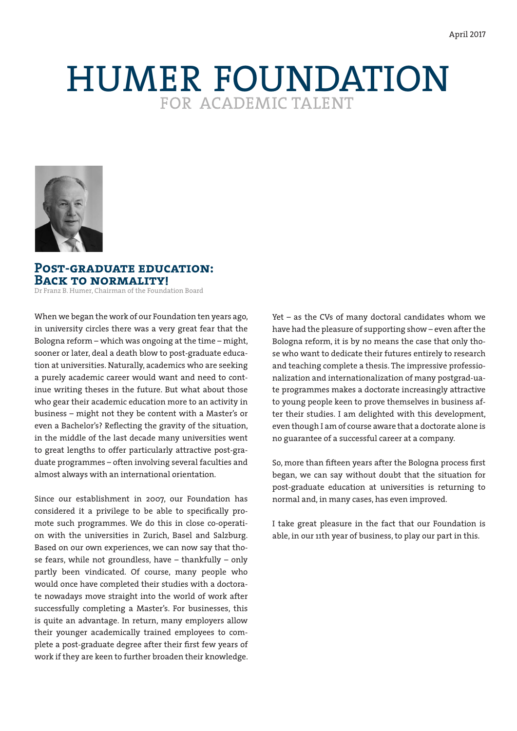# HUMER FOUNDATION



## **Post-graduate education: Back to normality!**

Dr Franz B. Humer, Chairman of the Foundation Board

When we began the work of our Foundation ten years ago, in university circles there was a very great fear that the Bologna reform – which was ongoing at the time – might, sooner or later, deal a death blow to post-graduate education at universities. Naturally, academics who are seeking a purely academic career would want and need to continue writing theses in the future. But what about those who gear their academic education more to an activity in business – might not they be content with a Master's or even a Bachelor's? Reflecting the gravity of the situation, in the middle of the last decade many universities went to great lengths to offer particularly attractive post-graduate programmes – often involving several faculties and almost always with an international orientation.

Since our establishment in 2007, our Foundation has considered it a privilege to be able to specifically promote such programmes. We do this in close co-operation with the universities in Zurich, Basel and Salzburg. Based on our own experiences, we can now say that those fears, while not groundless, have – thankfully – only partly been vindicated. Of course, many people who would once have completed their studies with a doctorate nowadays move straight into the world of work after successfully completing a Master's. For businesses, this is quite an advantage. In return, many employers allow their younger academically trained employees to complete a post-graduate degree after their first few years of work if they are keen to further broaden their knowledge.

Yet – as the CVs of many doctoral candidates whom we have had the pleasure of supporting show – even after the Bologna reform, it is by no means the case that only those who want to dedicate their futures entirely to research and teaching complete a thesis. The impressive professionalization and internationalization of many postgrad-uate programmes makes a doctorate increasingly attractive to young people keen to prove themselves in business after their studies. I am delighted with this development, even though I am of course aware that a doctorate alone is no guarantee of a successful career at a company.

So, more than fifteen years after the Bologna process first began, we can say without doubt that the situation for post-graduate education at universities is returning to normal and, in many cases, has even improved.

I take great pleasure in the fact that our Foundation is able, in our 11th year of business, to play our part in this.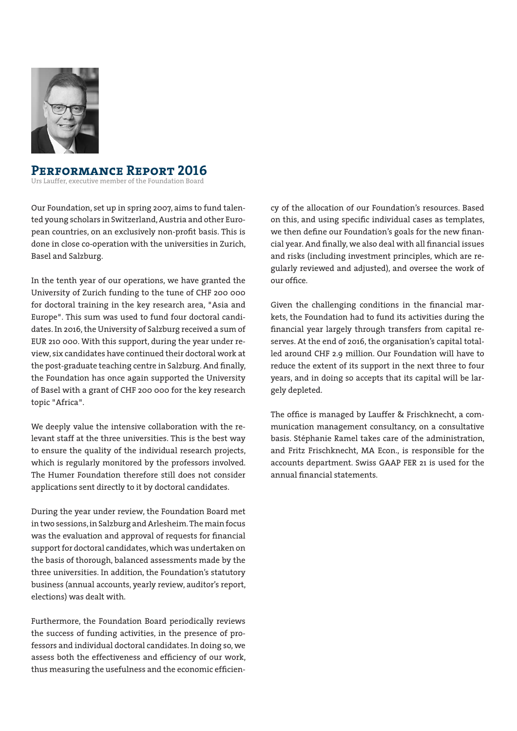

## **Performance Report 2016**

Urs Lauffer, executive member of the Foundation Board

Our Foundation, set up in spring 2007, aims to fund talented young scholars in Switzerland, Austria and other European countries, on an exclusively non-profit basis. This is done in close co-operation with the universities in Zurich, Basel and Salzburg.

In the tenth year of our operations, we have granted the University of Zurich funding to the tune of CHF 200 000 for doctoral training in the key research area, "Asia and Europe". This sum was used to fund four doctoral candidates. In 2016, the University of Salzburg received a sum of EUR 210 000. With this support, during the year under review, six candidates have continued their doctoral work at the post-graduate teaching centre in Salzburg. And finally, the Foundation has once again supported the University of Basel with a grant of CHF 200 000 for the key research topic "Africa".

We deeply value the intensive collaboration with the relevant staff at the three universities. This is the best way to ensure the quality of the individual research projects, which is regularly monitored by the professors involved. The Humer Foundation therefore still does not consider applications sent directly to it by doctoral candidates.

During the year under review, the Foundation Board met in two sessions, in Salzburg and Arlesheim. The main focus was the evaluation and approval of requests for financial support for doctoral candidates, which was undertaken on the basis of thorough, balanced assessments made by the three universities. In addition, the Foundation's statutory business (annual accounts, yearly review, auditor's report, elections) was dealt with.

Furthermore, the Foundation Board periodically reviews the success of funding activities, in the presence of professors and individual doctoral candidates. In doing so, we assess both the effectiveness and efficiency of our work, thus measuring the usefulness and the economic efficiency of the allocation of our Foundation's resources. Based on this, and using specific individual cases as templates, we then define our Foundation's goals for the new financial year. And finally, we also deal with all financial issues and risks (including investment principles, which are regularly reviewed and adjusted), and oversee the work of our office.

Given the challenging conditions in the financial markets, the Foundation had to fund its activities during the financial year largely through transfers from capital reserves. At the end of 2016, the organisation's capital totalled around CHF 2.9 million. Our Foundation will have to reduce the extent of its support in the next three to four years, and in doing so accepts that its capital will be largely depleted.

The office is managed by Lauffer & Frischknecht, a communication management consultancy, on a consultative basis. Stéphanie Ramel takes care of the administration, and Fritz Frischknecht, MA Econ., is responsible for the accounts department. Swiss GAAP FER 21 is used for the annual financial statements.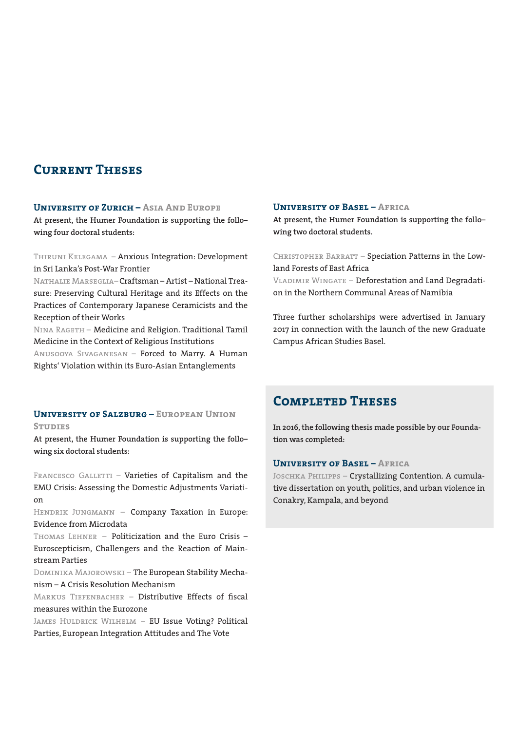# **Current Theses**

#### **University of Zurich – Asia And Europe**

**At present, the Humer Foundation is supporting the follo– wing four doctoral students:**

Thiruni Kelegama – Anxious Integration: Development in Sri Lanka's Post-War Frontier

Nathalie Marseglia – Craftsman – Artist – National Treasure: Preserving Cultural Heritage and its Effects on the Practices of Contemporary Japanese Ceramicists and the Reception of their Works

Nina Rageth – Medicine and Religion. Traditional Tamil Medicine in the Context of Religious Institutions

Anusooya Sivaganesan – Forced to Marry. A Human Rights' Violation within its Euro-Asian Entanglements

#### **University of Salzburg – European Union Studies**

**At present, the Humer Foundation is supporting the follo– wing six doctoral students:**

FRANCESCO GALLETTI - Varieties of Capitalism and the EMU Crisis: Assessing the Domestic Adjustments Variation

HENDRIK JUNGMANN - Company Taxation in Europe: Evidence from Microdata

Thomas Lehner – Politicization and the Euro Crisis – Euroscepticism, Challengers and the Reaction of Mainstream Parties

Dominika Majorowski – The European Stability Mechanism – A Crisis Resolution Mechanism

MARKUS TIEFENBACHER - Distributive Effects of fiscal measures within the Eurozone

James Huldrick Wilhelm – EU Issue Voting? Political Parties, European Integration Attitudes and The Vote

#### **University of Basel – Africa**

**At present, the Humer Foundation is supporting the follo– wing two doctoral students.** 

CHRISTOPHER BARRATT - Speciation Patterns in the Lowland Forests of East Africa Vladimir Wingate – Deforestation and Land Degradati-

on in the Northern Communal Areas of Namibia

Three further scholarships were advertised in January 2017 in connection with the launch of the new Graduate Campus African Studies Basel.

## **Completed Theses**

**In 2016, the following thesis made possible by our Foundation was completed:**

#### **University of Basel – Africa**

JOSCHKA PHILIPPS - Crystallizing Contention. A cumulative dissertation on youth, politics, and urban violence in Conakry, Kampala, and beyond